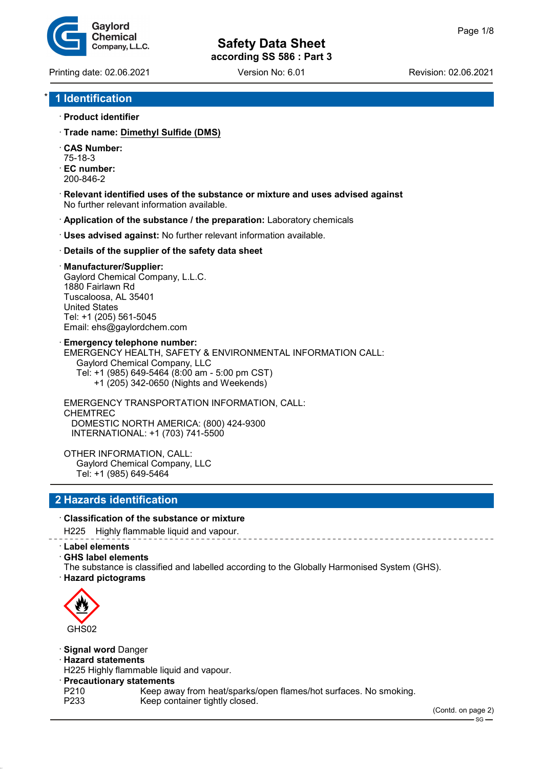**Safety Data Sheet**

**according SS 586 : Part 3**

Printing date: 02.06.2021 Version No: 6.01 Revision: 02.06.2021

Gavlord Chemical Company, L.L.C.

# \* **1 Identification**

- · **Product identifier**
- · **Trade name: Dimethyl Sulfide (DMS)**
- · **CAS Number:**
- 75-18-3
- · **EC number:** 200-846-2
- · **Relevant identified uses of the substance or mixture and uses advised against** No further relevant information available.
- · **Application of the substance / the preparation:** Laboratory chemicals
- · **Uses advised against:** No further relevant information available.
- · **Details of the supplier of the safety data sheet**

#### · **Manufacturer/Supplier:**

Gaylord Chemical Company, L.L.C. 1880 Fairlawn Rd Tuscaloosa, AL 35401 United States Tel: +1 (205) 561-5045 Email: ehs@gaylordchem.com

· **Emergency telephone number:** EMERGENCY HEALTH, SAFETY & ENVIRONMENTAL INFORMATION CALL: Gaylord Chemical Company, LLC Tel: +1 (985) 649-5464 (8:00 am - 5:00 pm CST) +1 (205) 342-0650 (Nights and Weekends)

EMERGENCY TRANSPORTATION INFORMATION, CALL: CHEMTREC DOMESTIC NORTH AMERICA: (800) 424-9300 INTERNATIONAL: +1 (703) 741-5500

OTHER INFORMATION, CALL: Gaylord Chemical Company, LLC Tel: +1 (985) 649-5464

# **2 Hazards identification**

#### · **Classification of the substance or mixture**

H225 Highly flammable liquid and vapour.

· **Label elements**

· **GHS label elements**

The substance is classified and labelled according to the Globally Harmonised System (GHS). · **Hazard pictograms**



· **Signal word** Danger

· **Hazard statements**

H225 Highly flammable liquid and vapour.

- · **Precautionary statements**
- P210 Keep away from heat/sparks/open flames/hot surfaces. No smoking.<br>P233 Keep container tightly closed.

(Contd. on page 2)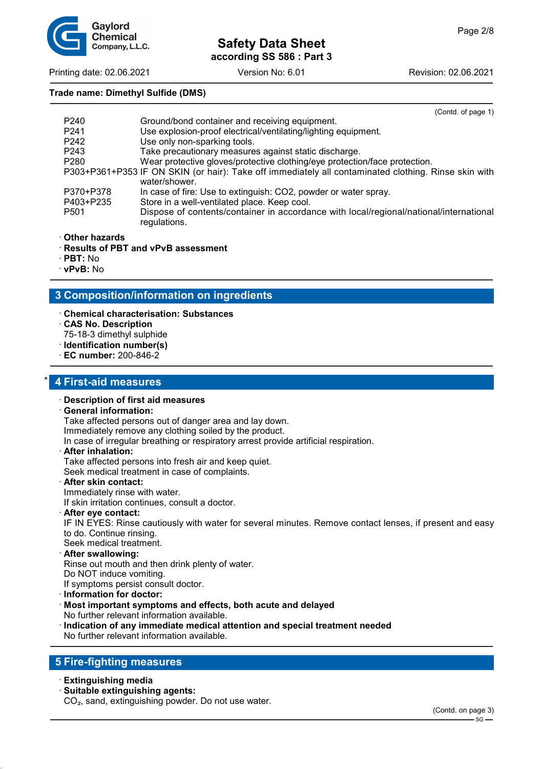

## Printing date: 02.06.2021 Version No: 6.01 Revision: 02.06.2021

# **Trade name: Dimethyl Sulfide (DMS)**

|                  | (Contd. of page 1)                                                                                                    |
|------------------|-----------------------------------------------------------------------------------------------------------------------|
| P <sub>240</sub> | Ground/bond container and receiving equipment.                                                                        |
| P <sub>241</sub> | Use explosion-proof electrical/ventilating/lighting equipment.                                                        |
| P <sub>242</sub> | Use only non-sparking tools.                                                                                          |
| P <sub>243</sub> | Take precautionary measures against static discharge.                                                                 |
| P <sub>280</sub> | Wear protective gloves/protective clothing/eye protection/face protection.                                            |
|                  | P303+P361+P353 IF ON SKIN (or hair): Take off immediately all contaminated clothing. Rinse skin with<br>water/shower. |
| P370+P378        | In case of fire: Use to extinguish: CO2, powder or water spray.                                                       |
| P403+P235        | Store in a well-ventilated place. Keep cool.                                                                          |
| P <sub>501</sub> | Dispose of contents/container in accordance with local/regional/national/international<br>regulations.                |

#### · **Other hazards**

- · **Results of PBT and vPvB assessment**
- · **PBT:** No
- · **vPvB:** No

# **3 Composition/information on ingredients**

- · **Chemical characterisation: Substances**
- · **CAS No. Description**
- 75-18-3 dimethyl sulphide
- · **Identification number(s)**
- · **EC number:** 200-846-2

# \* **4 First-aid measures**

# · **Description of first aid measures**

# · **General information:**

Take affected persons out of danger area and lay down.

Immediately remove any clothing soiled by the product.

In case of irregular breathing or respiratory arrest provide artificial respiration.

· **After inhalation:**

Take affected persons into fresh air and keep quiet.

Seek medical treatment in case of complaints.

#### · **After skin contact:**

Immediately rinse with water.

If skin irritation continues, consult a doctor.

· **After eye contact:**

IF IN EYES: Rinse cautiously with water for several minutes. Remove contact lenses, if present and easy to do. Continue rinsing.

Seek medical treatment.

· **After swallowing:**

Rinse out mouth and then drink plenty of water.

- Do NOT induce vomiting.
- If symptoms persist consult doctor.
- · **Information for doctor:**

# · **Most important symptoms and effects, both acute and delayed**

- No further relevant information available. · **Indication of any immediate medical attention and special treatment needed**
- No further relevant information available.

# **5 Fire-fighting measures**

- · **Extinguishing media**
- · **Suitable extinguishing agents:**

CO₂, sand, extinguishing powder. Do not use water.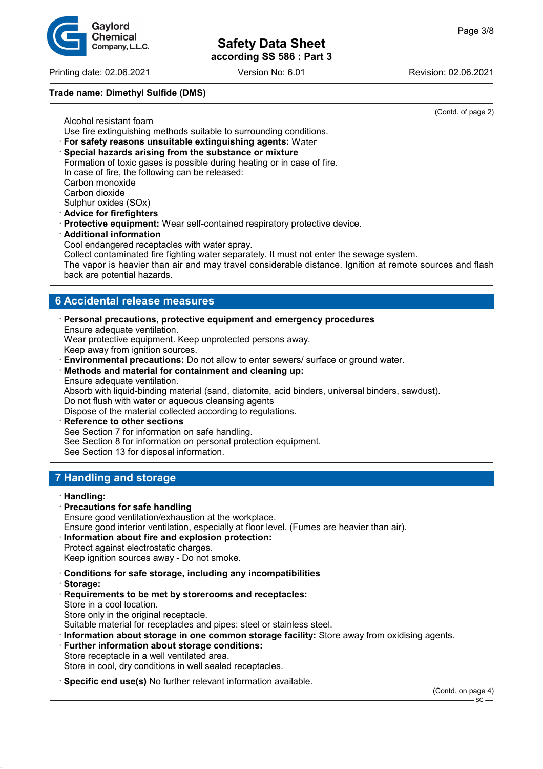Printing date: 02.06.2021 Version No: 6.01 Revision: 02.06.2021

# **Trade name: Dimethyl Sulfide (DMS)**

(Contd. of page 2)

Alcohol resistant foam Use fire extinguishing methods suitable to surrounding conditions.

- · **For safety reasons unsuitable extinguishing agents:** Water
- · **Special hazards arising from the substance or mixture** Formation of toxic gases is possible during heating or in case of fire. In case of fire, the following can be released: Carbon monoxide Carbon dioxide Sulphur oxides (SOx)

· **Advice for firefighters**

- · **Protective equipment:** Wear self-contained respiratory protective device.
- · **Additional information**

Cool endangered receptacles with water spray.

Collect contaminated fire fighting water separately. It must not enter the sewage system.

The vapor is heavier than air and may travel considerable distance. Ignition at remote sources and flash back are potential hazards.

# **6 Accidental release measures**

- · **Personal precautions, protective equipment and emergency procedures** Ensure adequate ventilation. Wear protective equipment. Keep unprotected persons away. Keep away from ignition sources.
- · **Environmental precautions:** Do not allow to enter sewers/ surface or ground water.
- · **Methods and material for containment and cleaning up:** Ensure adequate ventilation.

Absorb with liquid-binding material (sand, diatomite, acid binders, universal binders, sawdust).

Do not flush with water or aqueous cleansing agents

Dispose of the material collected according to regulations.

**Reference to other sections** See Section 7 for information on safe handling. See Section 8 for information on personal protection equipment.

See Section 13 for disposal information.

# **7 Handling and storage**

#### · **Handling:**

- · **Precautions for safe handling**
- Ensure good ventilation/exhaustion at the workplace.
- Ensure good interior ventilation, especially at floor level. (Fumes are heavier than air).

# · **Information about fire and explosion protection:**

Protect against electrostatic charges. Keep ignition sources away - Do not smoke.

- · **Conditions for safe storage, including any incompatibilities**
- · **Storage:**
- · **Requirements to be met by storerooms and receptacles:** Store in a cool location. Store only in the original receptacle. Suitable material for receptacles and pipes: steel or stainless steel.
- · **Information about storage in one common storage facility:** Store away from oxidising agents.
- **Further information about storage conditions:** Store receptacle in a well ventilated area. Store in cool, dry conditions in well sealed receptacles.
- · **Specific end use(s)** No further relevant information available.

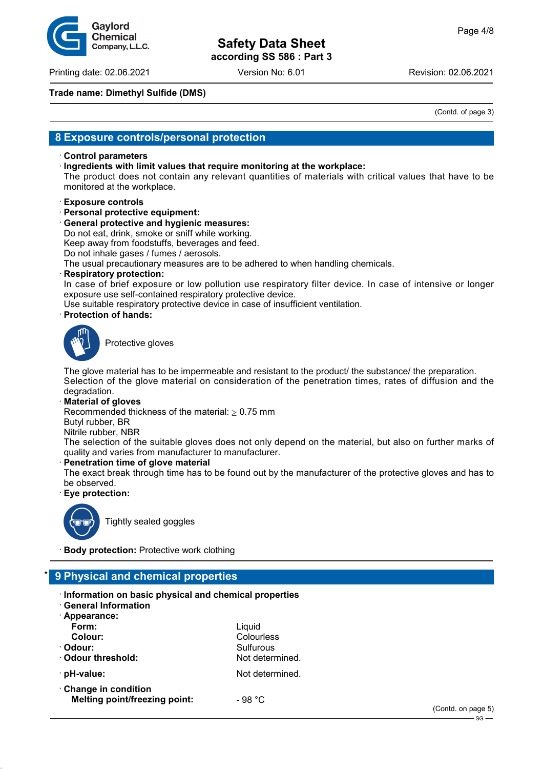**Safety Data Sheet**

**according SS 586 : Part 3**

Gavlord Chemical Company, L.L.C.

Printing date: 02.06.2021 Version No: 6.01 Revision: 02.06.2021

#### **Trade name: Dimethyl Sulfide (DMS)**

(Contd. of page 3)

# **8 Exposure controls/personal protection**

#### · **Control parameters**

· **Ingredients with limit values that require monitoring at the workplace:**

The product does not contain any relevant quantities of materials with critical values that have to be monitored at the workplace.

#### · **Exposure controls**

· **Personal protective equipment:**

· **General protective and hygienic measures:**

Do not eat, drink, smoke or sniff while working.

Keep away from foodstuffs, beverages and feed.

Do not inhale gases / fumes / aerosols.

The usual precautionary measures are to be adhered to when handling chemicals.

· **Respiratory protection:**

In case of brief exposure or low pollution use respiratory filter device. In case of intensive or longer exposure use self-contained respiratory protective device.

Use suitable respiratory protective device in case of insufficient ventilation.

· **Protection of hands:**



Protective gloves

The glove material has to be impermeable and resistant to the product/ the substance/ the preparation. Selection of the glove material on consideration of the penetration times, rates of diffusion and the degradation.

· **Material of gloves**

Recommended thickness of the material:  $\geq 0.75$  mm

Butyl rubber, BR

Nitrile rubber, NBR

The selection of the suitable gloves does not only depend on the material, but also on further marks of quality and varies from manufacturer to manufacturer.

#### · **Penetration time of glove material**

The exact break through time has to be found out by the manufacturer of the protective gloves and has to be observed.

· **Eye protection:**



Tightly sealed goggles

**Body protection:** Protective work clothing

# \* **9 Physical and chemical properties**

- · **Information on basic physical and chemical properties**
- · **General Information**
- · **Appearance:**

| Form:                                | Liquid          |
|--------------------------------------|-----------------|
| Colour:                              | Colourless      |
| · Odour:                             | Sulfurous       |
| Odour threshold:                     | Not determined. |
| $\cdot$ pH-value:                    | Not determined. |
| Change in condition                  |                 |
| <b>Melting point/freezing point:</b> | - 98 °C         |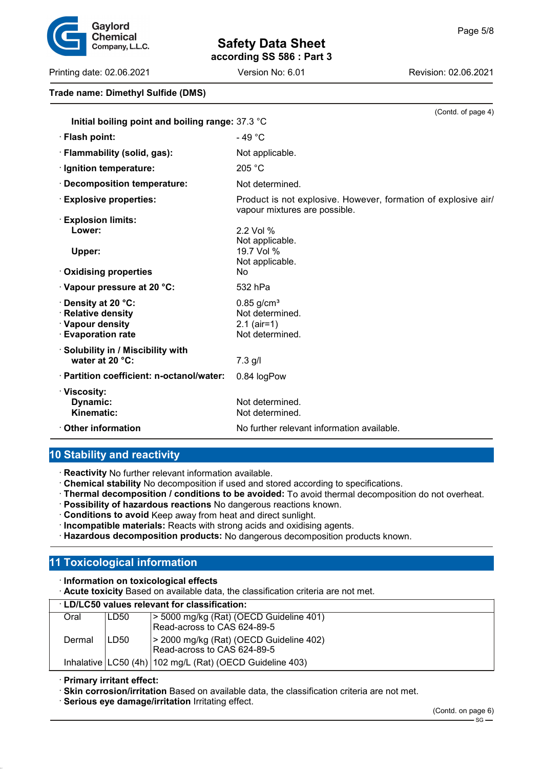# **Safety Data Sheet**

**according SS 586 : Part 3**

Printing date: 02.06.2021 Version No: 6.01 Revision: 02.06.2021

# **Trade name: Dimethyl Sulfide (DMS)**

|                                                  | (Contd. of page 4)                                                                              |
|--------------------------------------------------|-------------------------------------------------------------------------------------------------|
| Initial boiling point and boiling range: 37.3 °C |                                                                                                 |
| · Flash point:                                   | - 49 $^{\circ}$ C                                                                               |
| · Flammability (solid, gas):                     | Not applicable.                                                                                 |
| · Ignition temperature:                          | 205 °C                                                                                          |
| · Decomposition temperature:                     | Not determined.                                                                                 |
| <b>Explosive properties:</b>                     | Product is not explosive. However, formation of explosive air/<br>vapour mixtures are possible. |
| <b>Explosion limits:</b>                         |                                                                                                 |
| Lower:                                           | 2.2 Vol %                                                                                       |
|                                                  | Not applicable.<br>19.7 Vol %                                                                   |
| Upper:                                           | Not applicable.                                                                                 |
| <b>Oxidising properties</b>                      | No.                                                                                             |
| $\cdot$ Vapour pressure at 20 °C:                | 532 hPa                                                                                         |
| $\cdot$ Density at 20 °C:                        | $0.85$ g/cm <sup>3</sup>                                                                        |
| · Relative density                               | Not determined.                                                                                 |
| · Vapour density                                 | $2.1$ (air=1)                                                                                   |
| <b>Evaporation rate</b>                          | Not determined.                                                                                 |
| · Solubility in / Miscibility with               |                                                                                                 |
| water at $20 °C$ :                               | $7.3$ g/l                                                                                       |
| · Partition coefficient: n-octanol/water:        | 0.84 logPow                                                                                     |
| · Viscosity:                                     |                                                                                                 |
| Dynamic:                                         | Not determined.                                                                                 |
| Kinematic:                                       | Not determined.                                                                                 |
| <b>⋅ Other information</b>                       | No further relevant information available.                                                      |

# **10 Stability and reactivity**

· **Reactivity** No further relevant information available.

· **Chemical stability** No decomposition if used and stored according to specifications.

- · **Thermal decomposition / conditions to be avoided:** To avoid thermal decomposition do not overheat.
- · **Possibility of hazardous reactions** No dangerous reactions known.
- · **Conditions to avoid** Keep away from heat and direct sunlight.
- · **Incompatible materials:** Reacts with strong acids and oxidising agents.
- · **Hazardous decomposition products:** No dangerous decomposition products known.

# **11 Toxicological information**

· **Information on toxicological effects**

· **Acute toxicity** Based on available data, the classification criteria are not met.

| <b>LD/LC50 values relevant for classification:</b> |      |                                                                        |  |
|----------------------------------------------------|------|------------------------------------------------------------------------|--|
| Oral                                               | LD50 | > 5000 mg/kg (Rat) (OECD Guideline 401)                                |  |
|                                                    |      | Read-across to CAS 624-89-5                                            |  |
| Dermal                                             | LD50 | > 2000 mg/kg (Rat) (OECD Guideline 402)<br>Read-across to CAS 624-89-5 |  |
|                                                    |      | Inhalative $ LC50 (4h)  102 mg/L (Rat) (OECD Guide line 403)$          |  |

· **Primary irritant effect:**

· **Skin corrosion/irritation** Based on available data, the classification criteria are not met.

· **Serious eye damage/irritation** Irritating effect.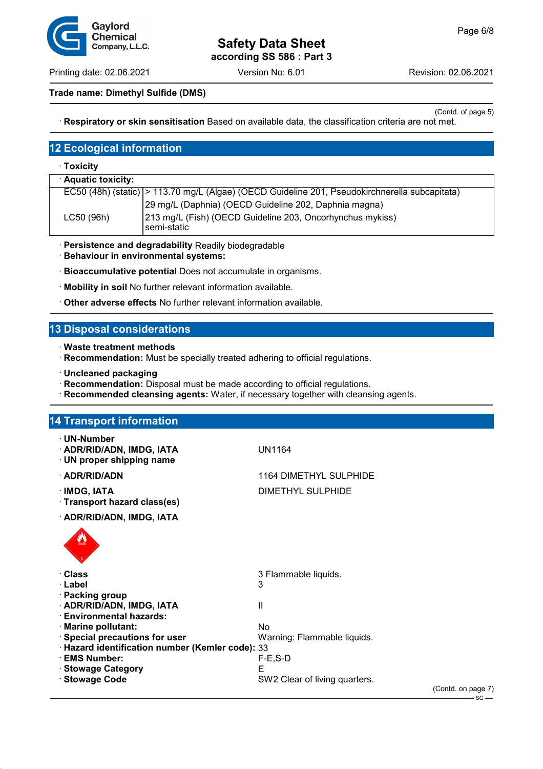Printing date: 02.06.2021 Version No: 6.01 Revision: 02.06.2021

Gavlord **Chemical** Company, L.L.C.

#### **Trade name: Dimethyl Sulfide (DMS)**

(Contd. of page 5) · **Respiratory or skin sensitisation** Based on available data, the classification criteria are not met.

# **12 Ecological information**

#### · **Toxicity**

| · Aquatic toxicity: |                                                                                                  |
|---------------------|--------------------------------------------------------------------------------------------------|
|                     | EC50 (48h) (static)   > 113.70 mg/L (Algae) (OECD Guideline 201, Pseudokirchnerella subcapitata) |
|                     | 29 mg/L (Daphnia) (OECD Guideline 202, Daphnia magna)                                            |
| LC50 (96h)          | 213 mg/L (Fish) (OECD Guideline 203, Oncorhynchus mykiss)<br>l semi-static                       |

· **Persistence and degradability** Readily biodegradable

· **Behaviour in environmental systems:**

- · **Bioaccumulative potential** Does not accumulate in organisms.
- · **Mobility in soil** No further relevant information available.
- · **Other adverse effects** No further relevant information available.

# **13 Disposal considerations**

- · **Waste treatment methods**
- · **Recommendation:** Must be specially treated adhering to official regulations.
- · **Uncleaned packaging**
- · **Recommendation:** Disposal must be made according to official regulations.
- · **Recommended cleansing agents:** Water, if necessary together with cleansing agents.

# **14 Transport information**

- · **UN-Number**
- · **ADR/RID/ADN, IMDG, IATA** UN1164
- · **UN proper shipping name**
- · **ADR/RID/ADN** 1164 DIMETHYL SULPHIDE
- 
- · **Transport hazard class(es)**
- 

# **IMDG, IATA** DIMETHYL SULPHIDE

· **ADR/RID/ADN, IMDG, IATA**



| 3 Flammable liquids.          |
|-------------------------------|
|                               |
|                               |
|                               |
|                               |
|                               |
| Warning: Flammable liquids.   |
|                               |
|                               |
|                               |
| SW2 Clear of living quarters. |
|                               |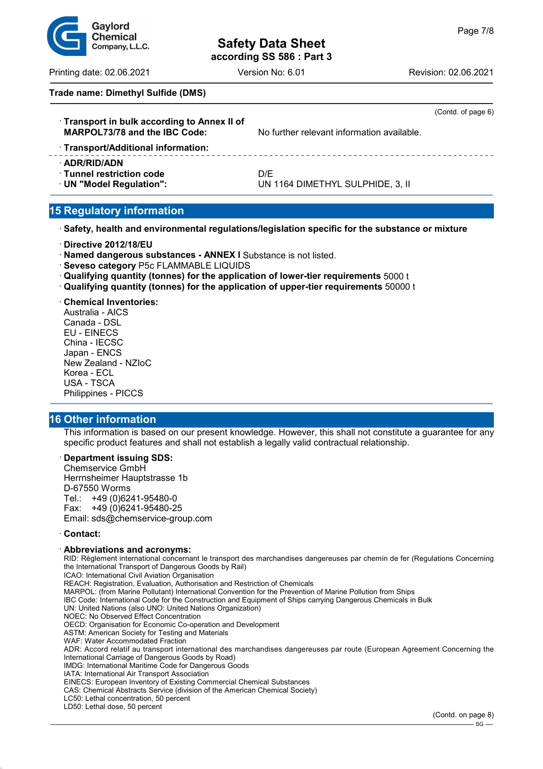# Gavlord **Chemical** Company, L.L.C.

# **Safety Data Sheet according SS 586 : Part 3**

Printing date: 02.06.2021 Version No: 6.01 Revision: 02.06.2021

# **Trade name: Dimethyl Sulfide (DMS)**

| Transport in bulk according to Annex II of<br>MARPOL73/78 and the IBC Code:<br>· Transport/Additional information: | No further relevant information available. | (Contd. of page 6) |
|--------------------------------------------------------------------------------------------------------------------|--------------------------------------------|--------------------|
| · ADR/RID/ADN<br>$\cdot$ Tunnel restriction code<br>· UN "Model Regulation":                                       | D/E<br>UN 1164 DIMETHYL SULPHIDE, 3, II    |                    |

# **15 Regulatory information**

· **Safety, health and environmental regulations/legislation specific for the substance or mixture**

· **Directive 2012/18/EU**

· **Named dangerous substances - ANNEX I** Substance is not listed.

**Seveso category P5c FLAMMABLE LIQUIDS** 

· **Qualifying quantity (tonnes) for the application of lower-tier requirements** 5000 t

· **Qualifying quantity (tonnes) for the application of upper-tier requirements** 50000 t

#### · **Chemical Inventories:**

Australia - AICS Canada - DSL EU - EINECS China - IECSC Japan - ENCS New Zealand - NZIoC Korea - ECL USA - TSCA Philippines - PICCS

# **16 Other information**

This information is based on our present knowledge. However, this shall not constitute a guarantee for any specific product features and shall not establish a legally valid contractual relationship.

#### · **Department issuing SDS:**

Chemservice GmbH Herrnsheimer Hauptstrasse 1b D-67550 Worms Tel.: +49 (0)6241-95480-0 Fax: +49 (0)6241-95480-25 Email: sds@chemservice-group.com

#### · **Contact:**

#### · **Abbreviations and acronyms:**

RID: Règlement international concernant le transport des marchandises dangereuses par chemin de fer (Regulations Concerning the International Transport of Dangerous Goods by Rail) ICAO: International Civil Aviation Organisation

REACH: Registration, Evaluation, Authorisation and Restriction of Chemicals

MARPOL: (from Marine Pollutant) International Convention for the Prevention of Marine Pollution from Ships

IBC Code: International Code for the Construction and Equipment of Ships carrying Dangerous Chemicals in Bulk

UN: United Nations (also UNO: United Nations Organization)

NOEC: No Observed Effect Concentration

OECD: Organisation for Economic Co-operation and Development

ASTM: American Society for Testing and Materials

WAF: Water Accommodated Fraction

ADR: Accord relatif au transport international des marchandises dangereuses par route (European Agreement Concerning the International Carriage of Dangerous Goods by Road)

IMDG: International Maritime Code for Dangerous Goods

IATA: International Air Transport Association

EINECS: European Inventory of Existing Commercial Chemical Substances

CAS: Chemical Abstracts Service (division of the American Chemical Society)

LC50: Lethal concentration, 50 percent

LD50: Lethal dose, 50 percent